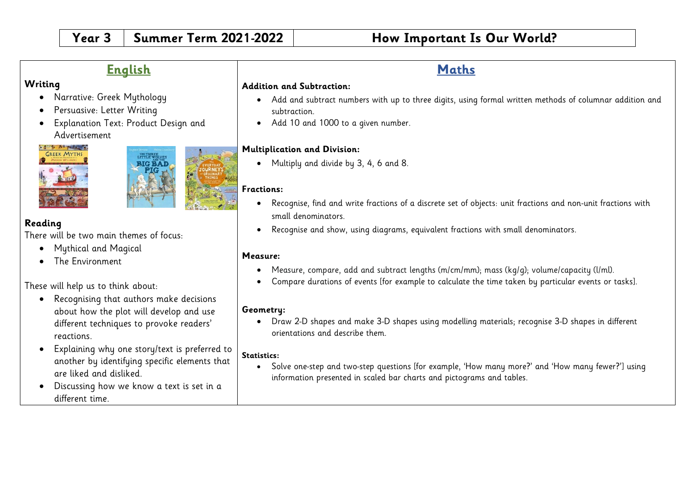# **English**

## **Writing**

- Narrative: Greek Mythology
- Persuasive: Letter Writing
- Explanation Text: Product Design and Advertisement





## **Reading**

There will be two main themes of focus:

- Mythical and Magical
- The Environment

These will help us to think about:

- Recognising that authors make decisions about how the plot will develop and use different techniques to provoke readers' reactions.
- Explaining why one story/text is preferred to another by identifying specific elements that are liked and disliked.
- Discussing how we know a text is set in a different time.

#### **Addition and Subtraction:**

- Add and subtract numbers with up to three digits, using formal written methods of columnar addition and subtraction.
- Add 10 and 1000 to a given number.

#### **Multiplication and Division:**

• Multiply and divide by 3, 4, 6 and 8.

#### **Fractions:**

- Recognise, find and write fractions of a discrete set of objects: unit fractions and non-unit fractions with small denominators.
- Recognise and show, using diagrams, equivalent fractions with small denominators.

#### **Measure:**

- Measure, compare, add and subtract lengths (m/cm/mm); mass (kg/g); volume/capacity (l/ml).
- Compare durations of events [for example to calculate the time taken by particular events or tasks].

#### **Geometry:**

• Draw 2-D shapes and make 3-D shapes using modelling materials; recognise 3-D shapes in different orientations and describe them.

#### **Statistics:**

• Solve one-step and two-step questions [for example, 'How many more?' and 'How many fewer?'] using information presented in scaled bar charts and pictograms and tables.

# **Maths**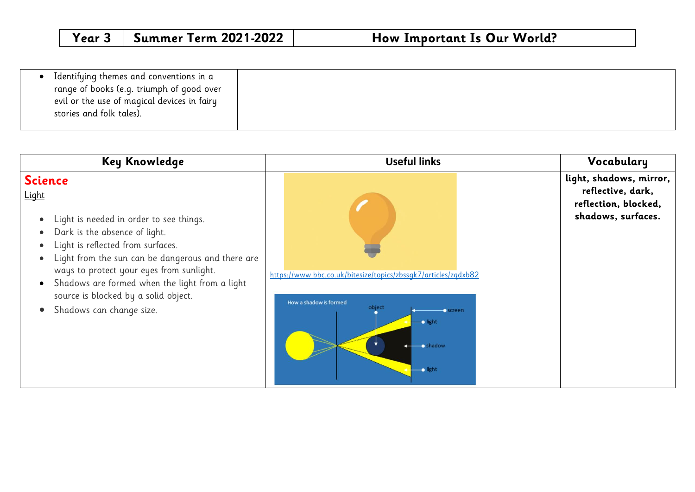|--|

| <b>Key Knowledge</b>                                                                                                                                                                                                                                                                                                                                                                                          | <b>Useful links</b>                                                                                                                                    | Vocabulary                                                                                 |
|---------------------------------------------------------------------------------------------------------------------------------------------------------------------------------------------------------------------------------------------------------------------------------------------------------------------------------------------------------------------------------------------------------------|--------------------------------------------------------------------------------------------------------------------------------------------------------|--------------------------------------------------------------------------------------------|
| <b>Science</b><br><u>Light</u><br>Light is needed in order to see things.<br>$\bullet$<br>Dark is the absence of light.<br>Light is reflected from surfaces.<br>$\bullet$<br>Light from the sun can be dangerous and there are<br>$\bullet$<br>ways to protect your eyes from sunlight.<br>Shadows are formed when the light from a light<br>source is blocked by a solid object.<br>Shadows can change size. | https://www.bbc.co.uk/bitesize/topics/zbssqk7/articles/zqdxb82<br>How a shadow is formed<br>object<br>Screen-<br>$\bullet$ light<br>shadow<br>-o light | light, shadows, mirror,<br>reflective, dark,<br>reflection, blocked,<br>shadows, surfaces. |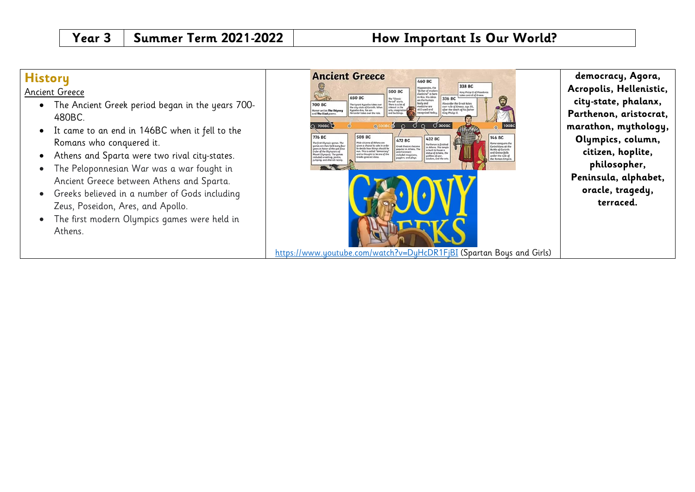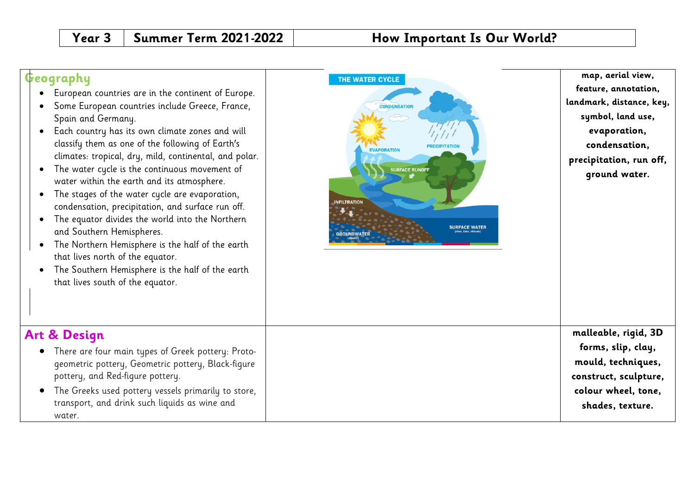# **Geography**

**Art & Design**

water.

- European countries are in the continent of Europe.
- Some European countries include Greece, France, Spain and Germany.
- Each country has its own climate zones and will classify them as one of the following of Earth's climates: tropical, dry, mild, continental, and polar.
- The water cycle is the continuous movement of water within the earth and its atmosphere.
- The stages of the water cycle are evaporation, condensation, precipitation, and surface run off.
- The equator divides the world into the Northern and Southern Hemispheres.
- The Northern Hemisphere is the half of the earth that lives north of the equator.
- The Southern Hemisphere is the half of the earth that lives south of the equator.

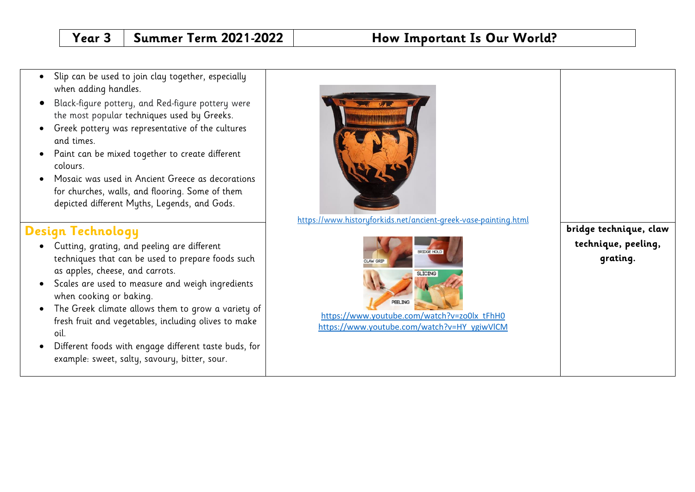- Slip can be used to join clay together, especially when adding handles.
- Black-figure pottery, and Red-figure pottery were the most popular techniques used by Greeks.
- Greek pottery was representative of the cultures and times.
- Paint can be mixed together to create different colours.
- Mosaic was used in Ancient Greece as decorations for churches, walls, and flooring. Some of them depicted different Myths, Legends, and Gods.

# **Design Technology**

- Cutting, grating, and peeling are different techniques that can be used to prepare foods such as apples, cheese, and carrots.
- Scales are used to measure and weigh ingredients when cooking or baking.
- The Greek climate allows them to grow a variety of fresh fruit and vegetables, including olives to make oil.
- Different foods with engage different taste buds, for example: sweet, salty, savoury, bitter, sour.



<https://www.historyforkids.net/ancient-greek-vase-painting.html>



[https://www.youtube.com/watch?v=HY\\_ygiwVlCM](https://www.youtube.com/watch?v=HY_ygiwVlCM)

**bridge technique, claw technique, peeling, grating.**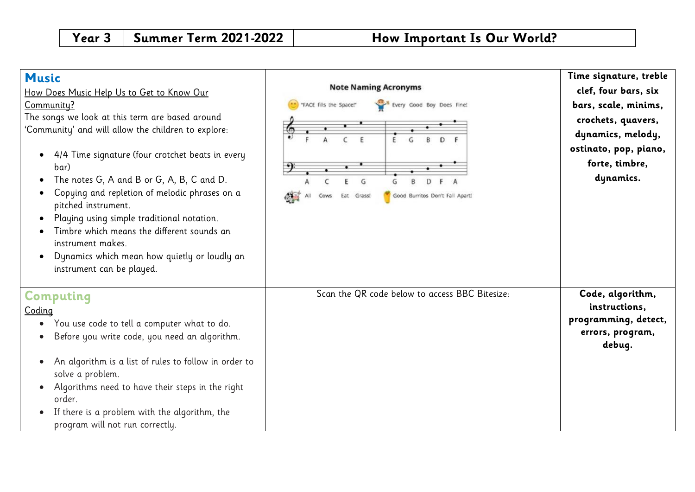| <b>Music</b><br><u>How Does Music Help Us to Get to Know Our</u><br>Community?<br>The songs we look at this term are based around<br>'Community' and will allow the children to explore:<br>4/4 Time signature (four crotchet beats in every<br>bar)<br>The notes G, A and B or G, A, B, C and D.<br>Copying and repletion of melodic phrases on a<br>pitched instrument.<br>Playing using simple traditional notation.<br>Timbre which means the different sounds an<br>instrument makes.<br>Dynamics which mean how quietly or loudly an<br>instrument can be played. | <b>Note Naming Acronyms</b><br>Every Good Boy Does Fine!<br>FACE fills the Space!"<br>G<br>Good Burritos Don't Fall Aparti<br>Eat<br>Grass<br>Cows | Time signature, treble<br>clef, four bars, six<br>bars, scale, minims,<br>crochets, quavers,<br>dynamics, melody,<br>ostinato, pop, piano,<br>forte, timbre,<br>dynamics. |
|-------------------------------------------------------------------------------------------------------------------------------------------------------------------------------------------------------------------------------------------------------------------------------------------------------------------------------------------------------------------------------------------------------------------------------------------------------------------------------------------------------------------------------------------------------------------------|----------------------------------------------------------------------------------------------------------------------------------------------------|---------------------------------------------------------------------------------------------------------------------------------------------------------------------------|
| Computing<br>Coding<br>You use code to tell a computer what to do.<br>Before you write code, you need an algorithm.<br>An algorithm is a list of rules to follow in order to<br>solve a problem.<br>Algorithms need to have their steps in the right<br>order.<br>If there is a problem with the algorithm, the<br>program will not run correctly.                                                                                                                                                                                                                      | Scan the QR code below to access BBC Bitesize:                                                                                                     | Code, algorithm,<br>instructions,<br>programming, detect,<br>errors, program,<br>debug.                                                                                   |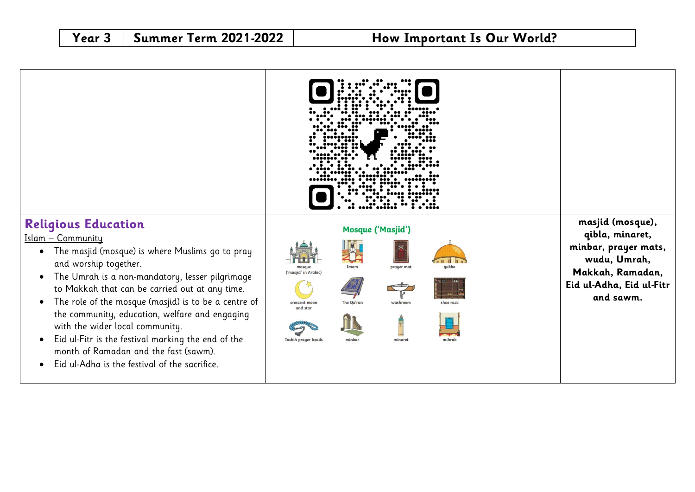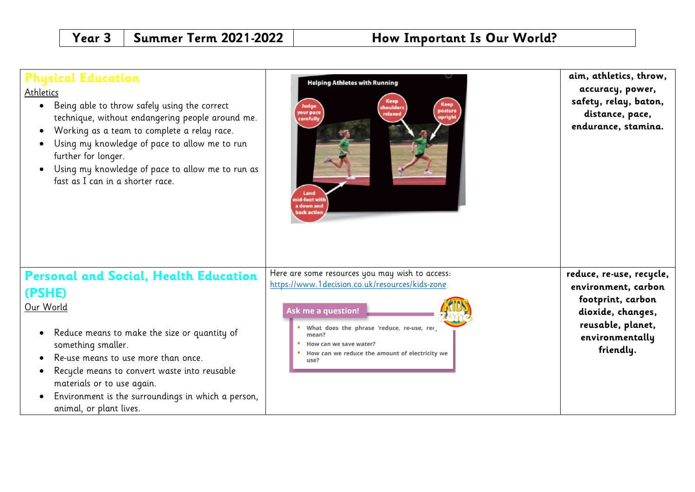| <b>Physical Education</b><br>Athletics<br>• Being able to throw safely using the correct<br>technique, without endangering people around me.<br>Working as a team to complete a relay race.<br>Using my knowledge of pace to allow me to run<br>further for longer.<br>Using my knowledge of pace to allow me to run as<br>$\bullet$<br>fast as I can in a shorter race. | <b>Helping Athletes with Running</b><br><b>Keep</b><br><b>Keep</b><br>Judge<br>shoulders<br>posture<br>your pace<br>relaxed<br>upright<br>carefully<br>Land<br>id-foot witl<br>a down and<br>back action                                                            | aim, athletics, throw,<br>accuracy, power,<br>safety, relay, baton,<br>distance, pace,<br>endurance, stamina.                                  |
|--------------------------------------------------------------------------------------------------------------------------------------------------------------------------------------------------------------------------------------------------------------------------------------------------------------------------------------------------------------------------|---------------------------------------------------------------------------------------------------------------------------------------------------------------------------------------------------------------------------------------------------------------------|------------------------------------------------------------------------------------------------------------------------------------------------|
| <b>Personal and Social, Health Education</b><br>(PSHE)<br>Our World<br>Reduce means to make the size or quantity of<br>$\bullet$<br>something smaller.<br>Re-use means to use more than once.<br>Recycle means to convert waste into reusable<br>materials or to use again.<br>Environment is the surroundings in which a person,<br>animal, or plant lives.             | Here are some resources you may wish to access:<br>https://www.1decision.co.uk/resources/kids-zone<br>Ask me a question!<br>What does the phrase 'reduce, re-use, rec,<br>mean?<br>How can we save water?<br>How can we reduce the amount of electricity we<br>use? | reduce, re-use, recycle,<br>environment, carbon<br>footprint, carbon<br>dioxide, changes,<br>reusable, planet,<br>environmentally<br>friendly. |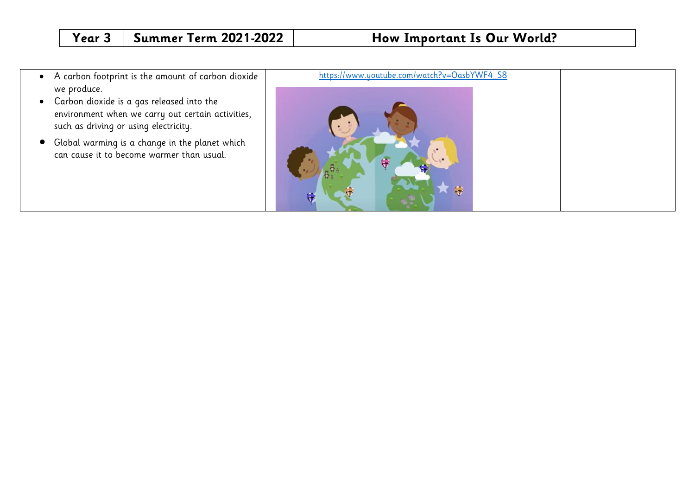- A carbon footprint is the amount of carbon dioxide we produce.
- Carbon dioxide is a gas released into the environment when we carry out certain activities, such as driving or using electricity.
- Global warming is a change in the planet which can cause it to become warmer than usual.

# [https://www.youtube.com/watch?v=OasbYWF4\\_S8](https://www.youtube.com/watch?v=OasbYWF4_S8) $\ddot{\tau}$